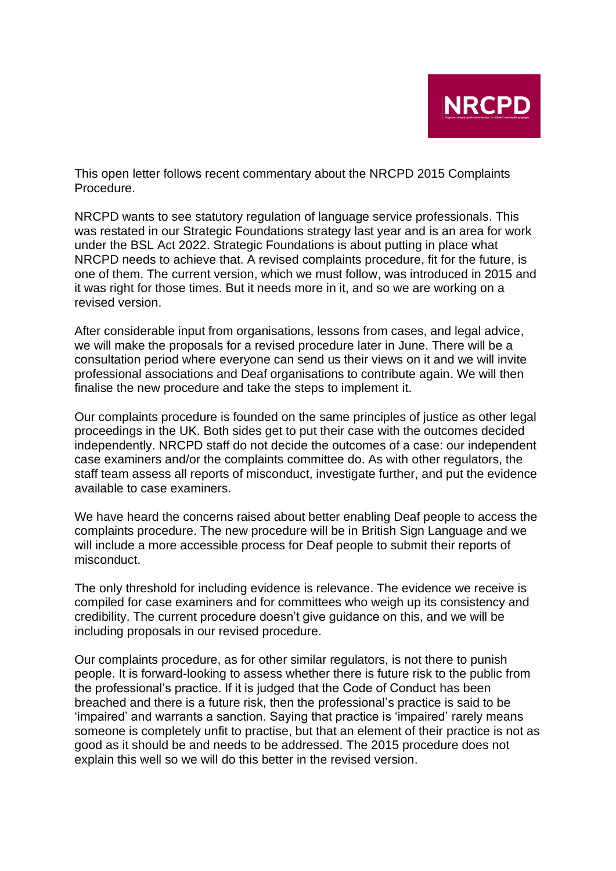

This open letter follows recent commentary about the NRCPD 2015 Complaints Procedure.

NRCPD wants to see statutory regulation of language service professionals. This was restated in our Strategic Foundations strategy last year and is an area for work under the BSL Act 2022. Strategic Foundations is about putting in place what NRCPD needs to achieve that. A revised complaints procedure, fit for the future, is one of them. The current version, which we must follow, was introduced in 2015 and it was right for those times. But it needs more in it, and so we are working on a revised version.

After considerable input from organisations, lessons from cases, and legal advice, we will make the proposals for a revised procedure later in June. There will be a consultation period where everyone can send us their views on it and we will invite professional associations and Deaf organisations to contribute again. We will then finalise the new procedure and take the steps to implement it.

Our complaints procedure is founded on the same principles of justice as other legal proceedings in the UK. Both sides get to put their case with the outcomes decided independently. NRCPD staff do not decide the outcomes of a case: our independent case examiners and/or the complaints committee do. As with other regulators, the staff team assess all reports of misconduct, investigate further, and put the evidence available to case examiners.

We have heard the concerns raised about better enabling Deaf people to access the complaints procedure. The new procedure will be in British Sign Language and we will include a more accessible process for Deaf people to submit their reports of misconduct.

The only threshold for including evidence is relevance. The evidence we receive is compiled for case examiners and for committees who weigh up its consistency and credibility. The current procedure doesn't give guidance on this, and we will be including proposals in our revised procedure.

Our complaints procedure, as for other similar regulators, is not there to punish people. It is forward-looking to assess whether there is future risk to the public from the professional's practice. If it is judged that the Code of Conduct has been breached and there is a future risk, then the professional's practice is said to be 'impaired' and warrants a sanction. Saying that practice is 'impaired' rarely means someone is completely unfit to practise, but that an element of their practice is not as good as it should be and needs to be addressed. The 2015 procedure does not explain this well so we will do this better in the revised version.